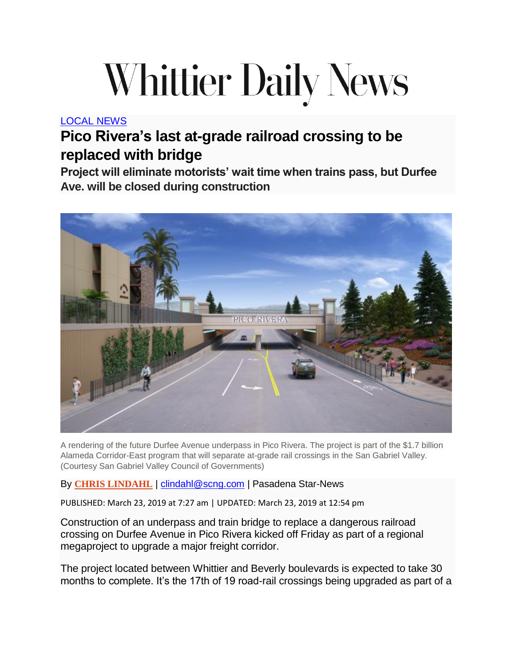## **Whittier Daily News**

[LOCAL](https://www.whittierdailynews.com/local-news/) NEWS

## **Pico Rivera's last at-grade railroad crossing to be replaced with bridge**

**Project will eliminate motorists' wait time when trains pass, but Durfee Ave. will be closed during construction**



A rendering of the future Durfee Avenue underpass in Pico Rivera. The project is part of the \$1.7 billion Alameda Corridor-East program that will separate at-grade rail crossings in the San Gabriel Valley. (Courtesy San Gabriel Valley Council of Governments)

## By **CHRIS [LINDAHL](https://www.whittierdailynews.com/author/chris-lindahl/)** | [clindahl@scng.com](mailto:clindahl@scng.com) | Pasadena Star-News

PUBLISHED: March 23, 2019 at 7:27 am | UPDATED: March 23, 2019 at 12:54 pm

Construction of an underpass and train bridge to replace a dangerous railroad crossing on Durfee Avenue in Pico Rivera kicked off Friday as part of a regional megaproject to upgrade a major freight corridor.

The project located between Whittier and Beverly boulevards is expected to take 30 months to complete. It's the 17th of 19 road-rail crossings being upgraded as part of a